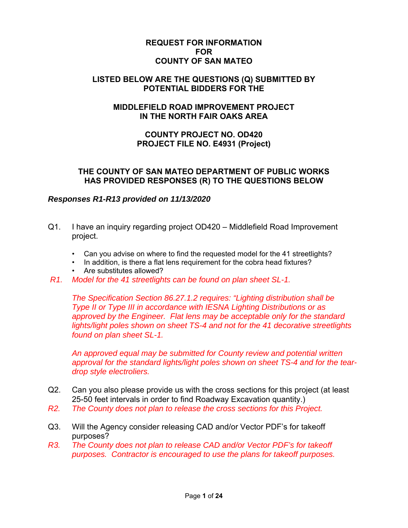### **REQUEST FOR INFORMATION FOR COUNTY OF SAN MATEO**

### **LISTED BELOW ARE THE QUESTIONS (Q) SUBMITTED BY POTENTIAL BIDDERS FOR THE**

# **MIDDLEFIELD ROAD IMPROVEMENT PROJECT IN THE NORTH FAIR OAKS AREA**

## **COUNTY PROJECT NO. OD420 PROJECT FILE NO. E4931 (Project)**

### **THE COUNTY OF SAN MATEO DEPARTMENT OF PUBLIC WORKS HAS PROVIDED RESPONSES (R) TO THE QUESTIONS BELOW**

# *Responses R1-R13 provided on 11/13/2020*

- Q1. I have an inquiry regarding project OD420 Middlefield Road Improvement project.
	- Can you advise on where to find the requested model for the 41 streetlights?
	- In addition, is there a flat lens requirement for the cobra head fixtures?
	- Are substitutes allowed?
- *R1. Model for the 41 streetlights can be found on plan sheet SL-1.*

 *The Specification Section 86.27.1.2 requires: "Lighting distribution shall be Type II or Type III in accordance with IESNA Lighting Distributions or as approved by the Engineer. Flat lens may be acceptable only for the standard lights/light poles shown on sheet TS-4 and not for the 41 decorative streetlights found on plan sheet SL-1.* 

 *An approved equal may be submitted for County review and potential written approval for the standard lights/light poles shown on sheet TS-4 and for the teardrop style electroliers.* 

- Q2. Can you also please provide us with the cross sections for this project (at least 25-50 feet intervals in order to find Roadway Excavation quantity.)
- *R2. The County does not plan to release the cross sections for this Project.*
- Q3. Will the Agency consider releasing CAD and/or Vector PDF's for takeoff purposes?
- *R3. The County does not plan to release CAD and/or Vector PDF's for takeoff purposes. Contractor is encouraged to use the plans for takeoff purposes.*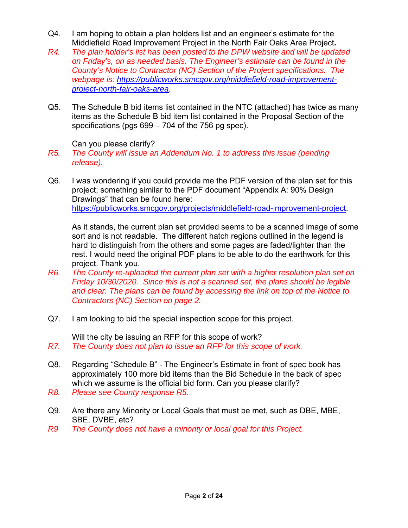- Q4. I am hoping to obtain a plan holders list and an engineer's estimate for the Middlefield Road Improvement Project in the North Fair Oaks Area Project**.**
- *R4. The plan holder's list has been posted to the DPW website and will be updated on Friday's, on as needed basis. The Engineer's estimate can be found in the County's Notice to Contractor (NC) Section of the Project specifications. The webpage is: https://publicworks.smcgov.org/middlefield-road-improvementproject-north-fair-oaks-area.*
- Q5. The Schedule B bid items list contained in the NTC (attached) has twice as many items as the Schedule B bid item list contained in the Proposal Section of the specifications (pgs 699 – 704 of the 756 pg spec).

Can you please clarify?

- *R5. The County will issue an Addendum No. 1 to address this issue (pending release).*
- Q6. I was wondering if you could provide me the PDF version of the plan set for this project; something similar to the PDF document "Appendix A: 90% Design Drawings" that can be found here: https://publicworks.smcgov.org/projects/middlefield-road-improvement-project.

As it stands, the current plan set provided seems to be a scanned image of some sort and is not readable. The different hatch regions outlined in the legend is hard to distinguish from the others and some pages are faded/lighter than the rest. I would need the original PDF plans to be able to do the earthwork for this project. Thank you.

- *R6. The County re-uploaded the current plan set with a higher resolution plan set on Friday 10/30/2020. Since this is not a scanned set, the plans should be legible and clear. The plans can be found by accessing the link on top of the Notice to Contractors (NC) Section on page 2.*
- Q7. I am looking to bid the special inspection scope for this project.

Will the city be issuing an RFP for this scope of work?

- *R7. The County does not plan to issue an RFP for this scope of work.*
- Q8. Regarding "Schedule B" The Engineer's Estimate in front of spec book has approximately 100 more bid items than the Bid Schedule in the back of spec which we assume is the official bid form. Can you please clarify?
- *R8. Please see County response R5.*
- Q9. Are there any Minority or Local Goals that must be met, such as DBE, MBE, SBE, DVBE, etc?
- *R9 The County does not have a minority or local goal for this Project.*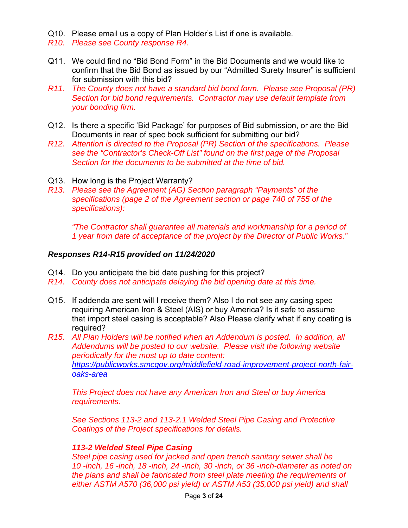- Q10. Please email us a copy of Plan Holder's List if one is available.
- *R10. Please see County response R4.*
- Q11. We could find no "Bid Bond Form" in the Bid Documents and we would like to confirm that the Bid Bond as issued by our "Admitted Surety Insurer" is sufficient for submission with this bid?
- *R11. The County does not have a standard bid bond form. Please see Proposal (PR) Section for bid bond requirements. Contractor may use default template from your bonding firm.*
- Q12. Is there a specific 'Bid Package' for purposes of Bid submission, or are the Bid Documents in rear of spec book sufficient for submitting our bid?
- *R12. Attention is directed to the Proposal (PR) Section of the specifications. Please see the "Contractor's Check-Off List" found on the first page of the Proposal Section for the documents to be submitted at the time of bid.*
- Q13. How long is the Project Warranty?
- *R13. Please see the Agreement (AG) Section paragraph "Payments" of the specifications (page 2 of the Agreement section or page 740 of 755 of the specifications):*

*"The Contractor shall guarantee all materials and workmanship for a period of 1 year from date of acceptance of the project by the Director of Public Works."* 

### *Responses R14-R15 provided on 11/24/2020*

- Q14. Do you anticipate the bid date pushing for this project?
- *R14. County does not anticipate delaying the bid opening date at this time.*
- Q15. If addenda are sent will I receive them? Also I do not see any casing spec requiring American Iron & Steel (AIS) or buy America? Is it safe to assume that import steel casing is acceptable? Also Please clarify what if any coating is required?
- *R15. All Plan Holders will be notified when an Addendum is posted. In addition, all Addendums will be posted to our website. Please visit the following website periodically for the most up to date content: https://publicworks.smcgov.org/middlefield-road-improvement-project-north-fairoaks-area*

*This Project does not have any American Iron and Steel or buy America requirements.* 

 *See Sections 113-2 and 113-2.1 Welded Steel Pipe Casing and Protective Coatings of the Project specifications for details.* 

### *113-2 Welded Steel Pipe Casing*

*Steel pipe casing used for jacked and open trench sanitary sewer shall be 10 -inch, 16 -inch, 18 -inch, 24 -inch, 30 -inch, or 36 -inch-diameter as noted on the plans and shall be fabricated from steel plate meeting the requirements of either ASTM A570 (36,000 psi yield) or ASTM A53 (35,000 psi yield) and shall*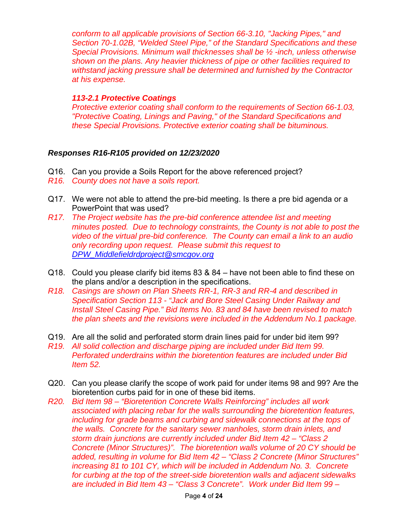*conform to all applicable provisions of Section 66-3.10, "Jacking Pipes," and Section 70-1.02B, "Welded Steel Pipe," of the Standard Specifications and these Special Provisions. Minimum wall thicknesses shall be ½ -inch, unless otherwise shown on the plans. Any heavier thickness of pipe or other facilities required to withstand jacking pressure shall be determined and furnished by the Contractor at his expense.* 

## *113-2.1 Protective Coatings*

*Protective exterior coating shall conform to the requirements of Section 66-1.03, "Protective Coating, Linings and Paving," of the Standard Specifications and these Special Provisions. Protective exterior coating shall be bituminous.* 

# *Responses R16-R105 provided on 12/23/2020*

- Q16. Can you provide a Soils Report for the above referenced project?
- *R16. County does not have a soils report.*
- Q17. We were not able to attend the pre-bid meeting. Is there a pre bid agenda or a PowerPoint that was used?
- *R17. The Project website has the pre-bid conference attendee list and meeting minutes posted. Due to technology constraints, the County is not able to post the video of the virtual pre-bid conference. The County can email a link to an audio only recording upon request. Please submit this request to DPW\_Middlefieldrdproject@smcgov.org*
- Q18. Could you please clarify bid items 83 & 84 have not been able to find these on the plans and/or a description in the specifications.
- *R18. Casings are shown on Plan Sheets RR-1, RR-3 and RR-4 and described in Specification Section 113 - "Jack and Bore Steel Casing Under Railway and Install Steel Casing Pipe." Bid Items No. 83 and 84 have been revised to match the plan sheets and the revisions were included in the Addendum No.1 package.*
- Q19. Are all the solid and perforated storm drain lines paid for under bid item 99?
- *R19. All solid collection and discharge piping are included under Bid Item 99. Perforated underdrains within the bioretention features are included under Bid Item 52.*
- Q20. Can you please clarify the scope of work paid for under items 98 and 99? Are the bioretention curbs paid for in one of these bid items.
- *R20. Bid Item 98 "Bioretention Concrete Walls Reinforcing" includes all work associated with placing rebar for the walls surrounding the bioretention features, including for grade beams and curbing and sidewalk connections at the tops of the walls. Concrete for the sanitary sewer manholes, storm drain inlets, and storm drain junctions are currently included under Bid Item 42 – "Class 2 Concrete (Minor Structures)". The bioretention walls volume of 20 CY should be added, resulting in volume for Bid Item 42 – "Class 2 Concrete (Minor Structures" increasing 81 to 101 CY, which will be included in Addendum No. 3. Concrete for curbing at the top of the street-side bioretention walls and adjacent sidewalks are included in Bid Item 43 – "Class 3 Concrete". Work under Bid Item 99 –*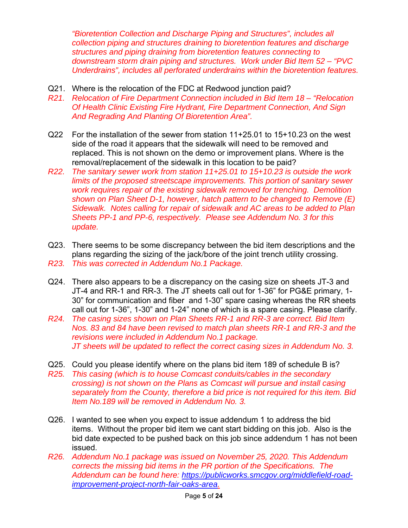*"Bioretention Collection and Discharge Piping and Structures", includes all collection piping and structures draining to bioretention features and discharge structures and piping draining from bioretention features connecting to downstream storm drain piping and structures. Work under Bid Item 52 – "PVC Underdrains", includes all perforated underdrains within the bioretention features.*

- Q21. Where is the relocation of the FDC at Redwood junction paid?
- *R21. Relocation of Fire Department Connection included in Bid Item 18 "Relocation Of Health Clinic Existing Fire Hydrant, Fire Department Connection, And Sign And Regrading And Planting Of Bioretention Area".*
- Q22 For the installation of the sewer from station 11+25.01 to 15+10.23 on the west side of the road it appears that the sidewalk will need to be removed and replaced. This is not shown on the demo or improvement plans. Where is the removal/replacement of the sidewalk in this location to be paid?
- *R22. The sanitary sewer work from station 11+25.01 to 15+10.23 is outside the work limits of the proposed streetscape improvements. This portion of sanitary sewer work requires repair of the existing sidewalk removed for trenching. Demolition shown on Plan Sheet D-1, however, hatch pattern to be changed to Remove (E) Sidewalk. Notes calling for repair of sidewalk and AC areas to be added to Plan Sheets PP-1 and PP-6, respectively. Please see Addendum No. 3 for this update.*
- Q23. There seems to be some discrepancy between the bid item descriptions and the plans regarding the sizing of the jack/bore of the joint trench utility crossing.
- *R23. This was corrected in Addendum No.1 Package.*
- Q24. There also appears to be a discrepancy on the casing size on sheets JT-3 and JT-4 and RR-1 and RR-3. The JT sheets call out for 1-36" for PG&E primary, 1- 30" for communication and fiber and 1-30" spare casing whereas the RR sheets call out for 1-36", 1-30" and 1-24" none of which is a spare casing. Please clarify.
- *R24. The casing sizes shown on Plan Sheets RR-1 and RR-3 are correct. Bid Item Nos. 83 and 84 have been revised to match plan sheets RR-1 and RR-3 and the revisions were included in Addendum No.1 package. JT sheets will be updated to reflect the correct casing sizes in Addendum No. 3.*
- Q25. Could you please identify where on the plans bid item 189 of schedule B is?
- *R25. This casing (which is to house Comcast conduits/cables in the secondary crossing) is not shown on the Plans as Comcast will pursue and install casing separately from the County, therefore a bid price is not required for this item. Bid Item No.189 will be removed in Addendum No. 3.*
- Q26. I wanted to see when you expect to issue addendum 1 to address the bid items. Without the proper bid item we cant start bidding on this job. Also is the bid date expected to be pushed back on this job since addendum 1 has not been issued.
- *R26. Addendum No.1 package was issued on November 25, 2020. This Addendum corrects the missing bid items in the PR portion of the Specifications. The Addendum can be found here: https://publicworks.smcgov.org/middlefield-roadimprovement-project-north-fair-oaks-area.*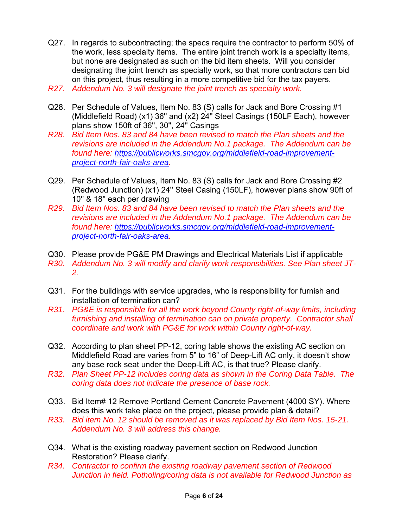- Q27. In regards to subcontracting; the specs require the contractor to perform 50% of the work, less specialty items. The entire joint trench work is a specialty items, but none are designated as such on the bid item sheets. Will you consider designating the joint trench as specialty work, so that more contractors can bid on this project, thus resulting in a more competitive bid for the tax payers.
- *R27. Addendum No. 3 will designate the joint trench as specialty work.*
- Q28. Per Schedule of Values, Item No. 83 (S) calls for Jack and Bore Crossing #1 (Middlefield Road) (x1) 36'' and (x2) 24'' Steel Casings (150LF Each), however plans show 150ft of 36'', 30'', 24'' Casings
- *R28. Bid Item Nos. 83 and 84 have been revised to match the Plan sheets and the revisions are included in the Addendum No.1 package. The Addendum can be found here: https://publicworks.smcgov.org/middlefield-road-improvementproject-north-fair-oaks-area.*
- Q29. Per Schedule of Values, Item No. 83 (S) calls for Jack and Bore Crossing #2 (Redwood Junction) (x1) 24'' Steel Casing (150LF), however plans show 90ft of 10'' & 18'' each per drawing
- *R29. Bid Item Nos. 83 and 84 have been revised to match the Plan sheets and the revisions are included in the Addendum No.1 package. The Addendum can be found here: https://publicworks.smcgov.org/middlefield-road-improvementproject-north-fair-oaks-area.*
- Q30. Please provide PG&E PM Drawings and Electrical Materials List if applicable *R30. Addendum No. 3 will modify and clarify work responsibilities. See Plan sheet JT-2.*
- Q31. For the buildings with service upgrades, who is responsibility for furnish and installation of termination can?
- *R31. PG&E is responsible for all the work beyond County right-of-way limits, including furnishing and installing of termination can on private property. Contractor shall coordinate and work with PG&E for work within County right-of-way.*
- Q32. According to plan sheet PP-12, coring table shows the existing AC section on Middlefield Road are varies from 5" to 16" of Deep-Lift AC only, it doesn't show any base rock seat under the Deep-Lift AC, is that true? Please clarify.
- *R32. Plan Sheet PP-12 includes coring data as shown in the Coring Data Table. The coring data does not indicate the presence of base rock.*
- Q33. Bid Item# 12 Remove Portland Cement Concrete Pavement (4000 SY). Where does this work take place on the project, please provide plan & detail?
- *R33. Bid item No. 12 should be removed as it was replaced by Bid Item Nos. 15-21. Addendum No. 3 will address this change.*
- Q34. What is the existing roadway pavement section on Redwood Junction Restoration? Please clarify.
- *R34. Contractor to confirm the existing roadway pavement section of Redwood Junction in field. Potholing/coring data is not available for Redwood Junction as*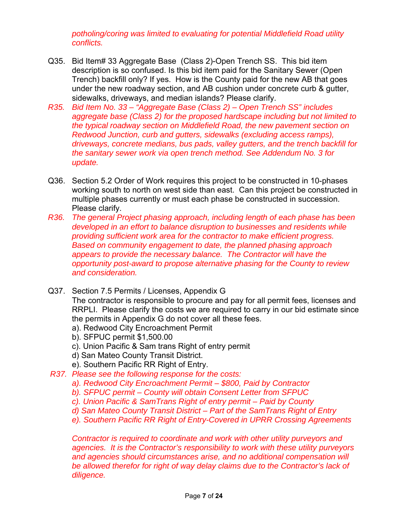*potholing/coring was limited to evaluating for potential Middlefield Road utility conflicts.* 

- Q35. Bid Item# 33 Aggregate Base (Class 2)-Open Trench SS. This bid item description is so confused. Is this bid item paid for the Sanitary Sewer (Open Trench) backfill only? If yes. How is the County paid for the new AB that goes under the new roadway section, and AB cushion under concrete curb & gutter, sidewalks, driveways, and median islands? Please clarify.
- *R35. Bid Item No. 33 "Aggregate Base (Class 2) Open Trench SS" includes aggregate base (Class 2) for the proposed hardscape including but not limited to the typical roadway section on Middlefield Road, the new pavement section on Redwood Junction, curb and gutters, sidewalks (excluding access ramps), driveways, concrete medians, bus pads, valley gutters, and the trench backfill for the sanitary sewer work via open trench method. See Addendum No. 3 for update.*
- Q36. Section 5.2 Order of Work requires this project to be constructed in 10-phases working south to north on west side than east. Can this project be constructed in multiple phases currently or must each phase be constructed in succession. Please clarify.
- *R36. The general Project phasing approach, including length of each phase has been developed in an effort to balance disruption to businesses and residents while providing sufficient work area for the contractor to make efficient progress. Based on community engagement to date, the planned phasing approach appears to provide the necessary balance. The Contractor will have the opportunity post-award to propose alternative phasing for the County to review and consideration.*
- Q37. Section 7.5 Permits / Licenses, Appendix G The contractor is responsible to procure and pay for all permit fees, licenses and RRPLI. Please clarify the costs we are required to carry in our bid estimate since the permits in Appendix G do not cover all these fees. a). Redwood City Encroachment Permit
	- b). SFPUC permit \$1,500.00
	- c). Union Pacific & Sam trans Right of entry permit
	- d) San Mateo County Transit District.
	- e). Southern Pacific RR Right of Entry.
- *R37. Please see the following response for the costs:* 
	- *a). Redwood City Encroachment Permit \$800, Paid by Contractor*
	- *b). SFPUC permit County will obtain Consent Letter from SFPUC*
	- *c). Union Pacific & SamTrans Right of entry permit Paid by County*
	- *d) San Mateo County Transit District Part of the SamTrans Right of Entry*
	- *e). Southern Pacific RR Right of Entry-Covered in UPRR Crossing Agreements*

*Contractor is required to coordinate and work with other utility purveyors and agencies. It is the Contractor's responsibility to work with these utility purveyors and agencies should circumstances arise, and no additional compensation will be allowed therefor for right of way delay claims due to the Contractor's lack of diligence.*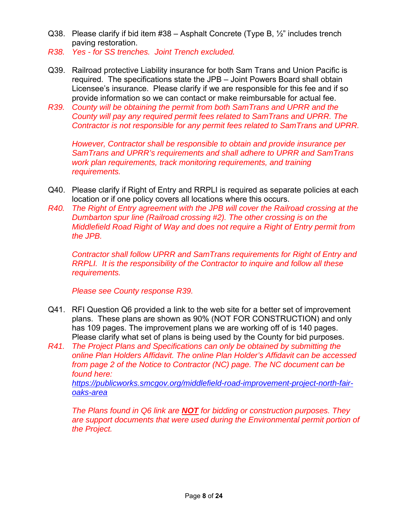- Q38. Please clarify if bid item  $\#38 -$  Asphalt Concrete (Type B,  $\frac{1}{2}$ " includes trench paving restoration.
- *R38. Yes for SS trenches. Joint Trench excluded.*
- Q39. Railroad protective Liability insurance for both Sam Trans and Union Pacific is required. The specifications state the JPB – Joint Powers Board shall obtain Licensee's insurance. Please clarify if we are responsible for this fee and if so provide information so we can contact or make reimbursable for actual fee.
- *R39. County will be obtaining the permit from both SamTrans and UPRR and the County will pay any required permit fees related to SamTrans and UPRR. The Contractor is not responsible for any permit fees related to SamTrans and UPRR.*

*However, Contractor shall be responsible to obtain and provide insurance per SamTrans and UPRR's requirements and shall adhere to UPRR and SamTrans work plan requirements, track monitoring requirements, and training requirements.* 

- Q40. Please clarify if Right of Entry and RRPLI is required as separate policies at each location or if one policy covers all locations where this occurs.
- *R40. The Right of Entry agreement with the JPB will cover the Railroad crossing at the Dumbarton spur line (Railroad crossing #2). The other crossing is on the Middlefield Road Right of Way and does not require a Right of Entry permit from the JPB.*

*Contractor shall follow UPRR and SamTrans requirements for Right of Entry and RRPLI. It is the responsibility of the Contractor to inquire and follow all these requirements.* 

 *Please see County response R39.*

- Q41. RFI Question Q6 provided a link to the web site for a better set of improvement plans. These plans are shown as 90% (NOT FOR CONSTRUCTION) and only has 109 pages. The improvement plans we are working off of is 140 pages. Please clarify what set of plans is being used by the County for bid purposes.
- *R41. The Project Plans and Specifications can only be obtained by submitting the online Plan Holders Affidavit. The online Plan Holder's Affidavit can be accessed from page 2 of the Notice to Contractor (NC) page. The NC document can be found here:*

*https://publicworks.smcgov.org/middlefield-road-improvement-project-north-fairoaks-area* 

 *The Plans found in Q6 link are NOT for bidding or construction purposes. They are support documents that were used during the Environmental permit portion of the Project.*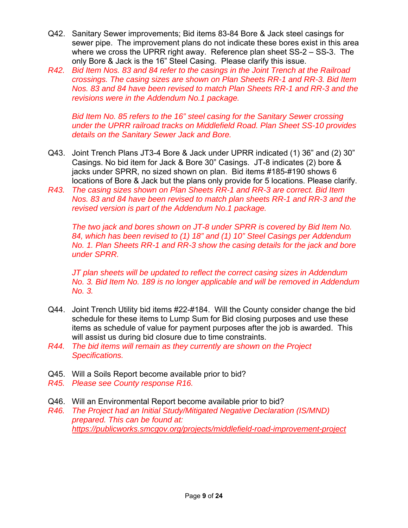- Q42. Sanitary Sewer improvements; Bid items 83-84 Bore & Jack steel casings for sewer pipe. The improvement plans do not indicate these bores exist in this area where we cross the UPRR right away. Reference plan sheet SS-2 – SS-3. The only Bore & Jack is the 16" Steel Casing. Please clarify this issue.
- *R42. Bid Item Nos. 83 and 84 refer to the casings in the Joint Trench at the Railroad crossings. The casing sizes are shown on Plan Sheets RR-1 and RR-3. Bid Item Nos. 83 and 84 have been revised to match Plan Sheets RR-1 and RR-3 and the revisions were in the Addendum No.1 package.*

 *Bid Item No. 85 refers to the 16" steel casing for the Sanitary Sewer crossing under the UPRR railroad tracks on Middlefield Road. Plan Sheet SS-10 provides details on the Sanitary Sewer Jack and Bore.* 

- Q43. Joint Trench Plans JT3-4 Bore & Jack under UPRR indicated (1) 36" and (2) 30" Casings. No bid item for Jack & Bore 30" Casings. JT-8 indicates (2) bore & jacks under SPRR, no sized shown on plan. Bid items #185-#190 shows 6 locations of Bore & Jack but the plans only provide for 5 locations. Please clarify.
- *R43. The casing sizes shown on Plan Sheets RR-1 and RR-3 are correct. Bid Item Nos. 83 and 84 have been revised to match plan sheets RR-1 and RR-3 and the revised version is part of the Addendum No.1 package.*

 *The two jack and bores shown on JT-8 under SPRR is covered by Bid Item No. 84, which has been revised to (1) 18" and (1) 10" Steel Casings per Addendum No. 1. Plan Sheets RR-1 and RR-3 show the casing details for the jack and bore under SPRR.* 

*JT plan sheets will be updated to reflect the correct casing sizes in Addendum No. 3. Bid Item No. 189 is no longer applicable and will be removed in Addendum No. 3.* 

- Q44. Joint Trench Utility bid items #22-#184. Will the County consider change the bid schedule for these items to Lump Sum for Bid closing purposes and use these items as schedule of value for payment purposes after the job is awarded. This will assist us during bid closure due to time constraints.
- *R44. The bid items will remain as they currently are shown on the Project Specifications.*
- Q45. Will a Soils Report become available prior to bid?
- *R45. Please see County response R16.*
- Q46. Will an Environmental Report become available prior to bid?
- *R46. The Project had an Initial Study/Mitigated Negative Declaration (IS/MND) prepared. This can be found at: https://publicworks.smcgov.org/projects/middlefield-road-improvement-project*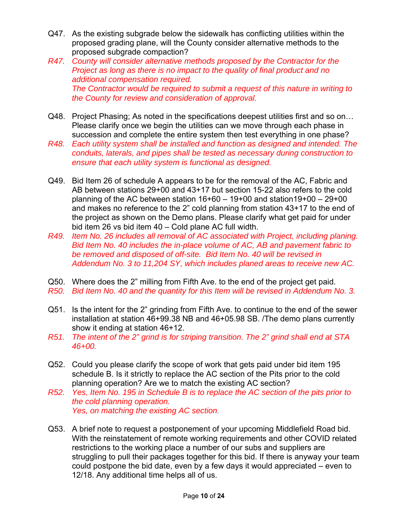- Q47. As the existing subgrade below the sidewalk has conflicting utilities within the proposed grading plane, will the County consider alternative methods to the proposed subgrade compaction?
- *R47. County will consider alternative methods proposed by the Contractor for the Project as long as there is no impact to the quality of final product and no additional compensation required. The Contractor would be required to submit a request of this nature in writing to the County for review and consideration of approval.*
- Q48. Project Phasing; As noted in the specifications deepest utilities first and so on... Please clarify once we begin the utilities can we move through each phase in succession and complete the entire system then test everything in one phase?
- *R48. Each utility system shall be installed and function as designed and intended. The conduits, laterals, and pipes shall be tested as necessary during construction to ensure that each utility system is functional as designed.*
- Q49. Bid Item 26 of schedule A appears to be for the removal of the AC, Fabric and AB between stations 29+00 and 43+17 but section 15-22 also refers to the cold planning of the AC between station  $16+60 - 19+00$  and station  $19+00 - 29+00$ and makes no reference to the 2" cold planning from station 43+17 to the end of the project as shown on the Demo plans. Please clarify what get paid for under bid item 26 vs bid item 40 – Cold plane AC full width.
- *R49. Item No. 26 includes all removal of AC associated with Project, including planing. Bid Item No. 40 includes the in-place volume of AC, AB and pavement fabric to be removed and disposed of off-site. Bid Item No. 40 will be revised in Addendum No. 3 to 11,204 SY, which includes planed areas to receive new AC.*
- Q50. Where does the 2" milling from Fifth Ave. to the end of the project get paid.
- *R50. Bid Item No. 40 and the quantity for this Item will be revised in Addendum No. 3.*
- Q51. Is the intent for the 2" grinding from Fifth Ave. to continue to the end of the sewer installation at station 46+99.38 NB and 46+05.98 SB. /The demo plans currently show it ending at station 46+12.
- *R51. The intent of the 2" grind is for striping transition. The 2" grind shall end at STA 46+00.*
- Q52. Could you please clarify the scope of work that gets paid under bid item 195 schedule B. Is it strictly to replace the AC section of the Pits prior to the cold planning operation? Are we to match the existing AC section?
- *R52. Yes, Item No. 195 in Schedule B is to replace the AC section of the pits prior to the cold planning operation. Yes, on matching the existing AC section.*
- Q53. A brief note to request a postponement of your upcoming Middlefield Road bid. With the reinstatement of remote working requirements and other COVID related restrictions to the working place a number of our subs and suppliers are struggling to pull their packages together for this bid. If there is anyway your team could postpone the bid date, even by a few days it would appreciated – even to 12/18. Any additional time helps all of us.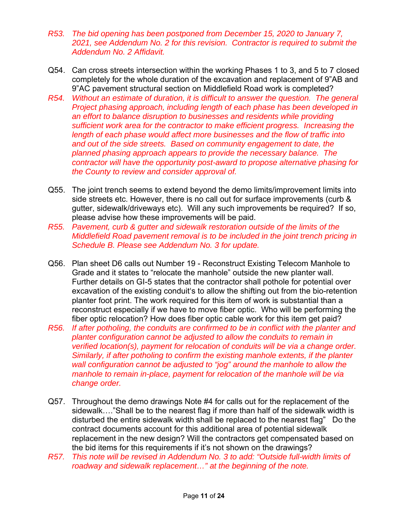- *R53. The bid opening has been postponed from December 15, 2020 to January 7, 2021, see Addendum No. 2 for this revision. Contractor is required to submit the Addendum No. 2 Affidavit.*
- Q54. Can cross streets intersection within the working Phases 1 to 3, and 5 to 7 closed completely for the whole duration of the excavation and replacement of 9"AB and 9"AC pavement structural section on Middlefield Road work is completed?
- *R54. Without an estimate of duration, it is difficult to answer the question. The general Project phasing approach, including length of each phase has been developed in an effort to balance disruption to businesses and residents while providing sufficient work area for the contractor to make efficient progress. Increasing the length of each phase would affect more businesses and the flow of traffic into and out of the side streets. Based on community engagement to date, the planned phasing approach appears to provide the necessary balance. The contractor will have the opportunity post-award to propose alternative phasing for the County to review and consider approval of.*
- Q55. The joint trench seems to extend beyond the demo limits/improvement limits into side streets etc. However, there is no call out for surface improvements (curb & gutter, sidewalk/driveways etc). Will any such improvements be required? If so, please advise how these improvements will be paid.
- *R55. Pavement, curb & gutter and sidewalk restoration outside of the limits of the Middlefield Road pavement removal is to be included in the joint trench pricing in Schedule B. Please see Addendum No. 3 for update.*
- Q56. Plan sheet D6 calls out Number 19 Reconstruct Existing Telecom Manhole to Grade and it states to "relocate the manhole" outside the new planter wall. Further details on GI-5 states that the contractor shall pothole for potential over excavation of the existing conduit's to allow the shifting out from the bio-retention planter foot print. The work required for this item of work is substantial than a reconstruct especially if we have to move fiber optic. Who will be performing the fiber optic relocation? How does fiber optic cable work for this item get paid?
- *R56. If after potholing, the conduits are confirmed to be in conflict with the planter and planter configuration cannot be adjusted to allow the conduits to remain in verified location(s), payment for relocation of conduits will be via a change order. Similarly, if after potholing to confirm the existing manhole extents, if the planter wall configuration cannot be adjusted to "jog" around the manhole to allow the manhole to remain in-place, payment for relocation of the manhole will be via change order.*
- Q57. Throughout the demo drawings Note #4 for calls out for the replacement of the sidewalk…."Shall be to the nearest flag if more than half of the sidewalk width is disturbed the entire sidewalk width shall be replaced to the nearest flag" Do the contract documents account for this additional area of potential sidewalk replacement in the new design? Will the contractors get compensated based on the bid items for this requirements if it's not shown on the drawings?
- *R57. This note will be revised in Addendum No. 3 to add: "Outside full-width limits of roadway and sidewalk replacement…" at the beginning of the note.*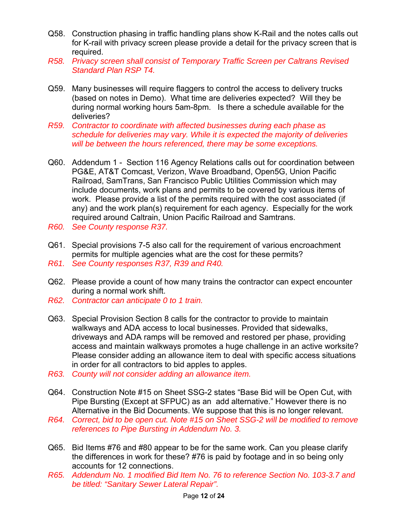- Q58. Construction phasing in traffic handling plans show K-Rail and the notes calls out for K-rail with privacy screen please provide a detail for the privacy screen that is required.
- *R58. Privacy screen shall consist of Temporary Traffic Screen per Caltrans Revised Standard Plan RSP T4.*
- Q59. Many businesses will require flaggers to control the access to delivery trucks (based on notes in Demo). What time are deliveries expected? Will they be during normal working hours 5am-8pm. Is there a schedule available for the deliveries?
- *R59. Contractor to coordinate with affected businesses during each phase as schedule for deliveries may vary. While it is expected the majority of deliveries will be between the hours referenced, there may be some exceptions.*
- Q60. Addendum 1 Section 116 Agency Relations calls out for coordination between PG&E, AT&T Comcast, Verizon, Wave Broadband, Open5G, Union Pacific Railroad, SamTrans, San Francisco Public Utilities Commission which may include documents, work plans and permits to be covered by various items of work. Please provide a list of the permits required with the cost associated (if any) and the work plan(s) requirement for each agency. Especially for the work required around Caltrain, Union Pacific Railroad and Samtrans.
- *R60. See County response R37.*
- Q61. Special provisions 7-5 also call for the requirement of various encroachment permits for multiple agencies what are the cost for these permits?
- *R61. See County responses R37, R39 and R40.*
- Q62. Please provide a count of how many trains the contractor can expect encounter during a normal work shift.
- *R62. Contractor can anticipate 0 to 1 train.*
- Q63. Special Provision Section 8 calls for the contractor to provide to maintain walkways and ADA access to local businesses. Provided that sidewalks, driveways and ADA ramps will be removed and restored per phase, providing access and maintain walkways promotes a huge challenge in an active worksite? Please consider adding an allowance item to deal with specific access situations in order for all contractors to bid apples to apples.
- *R63. County will not consider adding an allowance item.*
- Q64. Construction Note #15 on Sheet SSG-2 states "Base Bid will be Open Cut, with Pipe Bursting (Except at SFPUC) as an add alternative." However there is no Alternative in the Bid Documents. We suppose that this is no longer relevant.
- *R64. Correct, bid to be open cut. Note #15 on Sheet SSG-2 will be modified to remove references to Pipe Bursting in Addendum No. 3.*
- Q65. Bid Items #76 and #80 appear to be for the same work. Can you please clarify the differences in work for these? #76 is paid by footage and in so being only accounts for 12 connections.
- *R65. Addendum No. 1 modified Bid Item No. 76 to reference Section No. 103-3.7 and be titled: "Sanitary Sewer Lateral Repair".*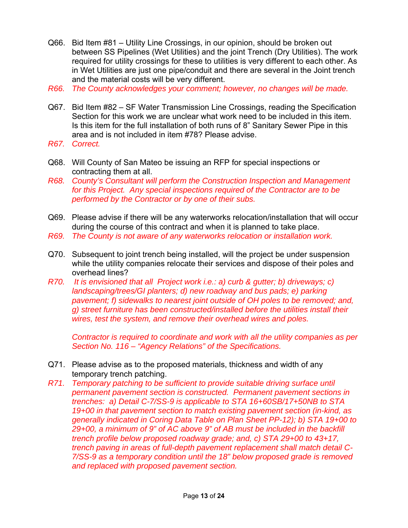- Q66. Bid Item #81 Utility Line Crossings, in our opinion, should be broken out between SS Pipelines (Wet Utilities) and the joint Trench (Dry Utilities). The work required for utility crossings for these to utilities is very different to each other. As in Wet Utilities are just one pipe/conduit and there are several in the Joint trench and the material costs will be very different.
- *R66. The County acknowledges your comment; however, no changes will be made.*
- Q67. Bid Item #82 SF Water Transmission Line Crossings, reading the Specification Section for this work we are unclear what work need to be included in this item. Is this item for the full installation of both runs of 8" Sanitary Sewer Pipe in this area and is not included in item #78? Please advise.
- *R67. Correct.*
- Q68. Will County of San Mateo be issuing an RFP for special inspections or contracting them at all.
- *R68. County's Consultant will perform the Construction Inspection and Management for this Project. Any special inspections required of the Contractor are to be performed by the Contractor or by one of their subs.*
- Q69. Please advise if there will be any waterworks relocation/installation that will occur during the course of this contract and when it is planned to take place.
- *R69. The County is not aware of any waterworks relocation or installation work.*
- Q70. Subsequent to joint trench being installed, will the project be under suspension while the utility companies relocate their services and dispose of their poles and overhead lines?
- *R70. It is envisioned that all Project work i.e.: a) curb & gutter; b) driveways; c) landscaping/trees/GI planters; d) new roadway and bus pads; e) parking pavement; f) sidewalks to nearest joint outside of OH poles to be removed; and, g) street furniture has been constructed/installed before the utilities install their wires, test the system, and remove their overhead wires and poles.*

 *Contractor is required to coordinate and work with all the utility companies as per Section No. 116 – "Agency Relations" of the Specifications.* 

- Q71. Please advise as to the proposed materials, thickness and width of any temporary trench patching.
- *R71. Temporary patching to be sufficient to provide suitable driving surface until permanent pavement section is constructed. Permanent pavement sections in trenches: a) Detail C-7/SS-9 is applicable to STA 16+60SB/17+50NB to STA 19+00 in that pavement section to match existing pavement section (in-kind, as generally indicated in Coring Data Table on Plan Sheet PP-12); b) STA 19+00 to 29+00, a minimum of 9" of AC above 9" of AB must be included in the backfill trench profile below proposed roadway grade; and, c) STA 29+00 to 43+17, trench paving in areas of full-depth pavement replacement shall match detail C-7/SS-9 as a temporary condition until the 18" below proposed grade is removed and replaced with proposed pavement section.*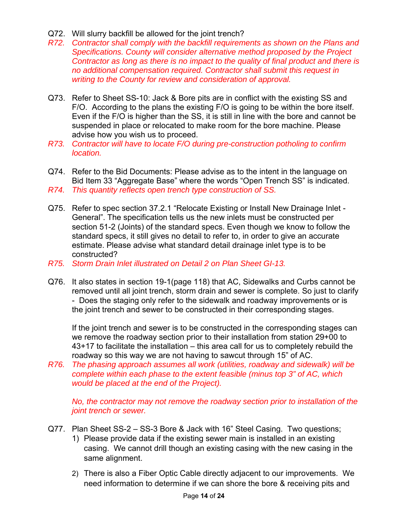- Q72. Will slurry backfill be allowed for the joint trench?
- *R72. Contractor shall comply with the backfill requirements as shown on the Plans and Specifications. County will consider alternative method proposed by the Project Contractor as long as there is no impact to the quality of final product and there is no additional compensation required. Contractor shall submit this request in writing to the County for review and consideration of approval.*
- Q73. Refer to Sheet SS-10: Jack & Bore pits are in conflict with the existing SS and F/O. According to the plans the existing F/O is going to be within the bore itself. Even if the F/O is higher than the SS, it is still in line with the bore and cannot be suspended in place or relocated to make room for the bore machine. Please advise how you wish us to proceed.
- *R73. Contractor will have to locate F/O during pre-construction potholing to confirm location.*
- Q74. Refer to the Bid Documents: Please advise as to the intent in the language on Bid Item 33 "Aggregate Base" where the words "Open Trench SS" is indicated.
- *R74. This quantity reflects open trench type construction of SS.*
- Q75. Refer to spec section 37.2.1 "Relocate Existing or Install New Drainage Inlet General". The specification tells us the new inlets must be constructed per section 51-2 (Joints) of the standard specs. Even though we know to follow the standard specs, it still gives no detail to refer to, in order to give an accurate estimate. Please advise what standard detail drainage inlet type is to be constructed?
- *R75. Storm Drain Inlet illustrated on Detail 2 on Plan Sheet GI-13.*
- Q76. It also states in section 19-1(page 118) that AC, Sidewalks and Curbs cannot be removed until all joint trench, storm drain and sewer is complete. So just to clarify - Does the staging only refer to the sidewalk and roadway improvements or is the joint trench and sewer to be constructed in their corresponding stages.

If the joint trench and sewer is to be constructed in the corresponding stages can we remove the roadway section prior to their installation from station 29+00 to 43+17 to facilitate the installation – this area call for us to completely rebuild the roadway so this way we are not having to sawcut through 15" of AC.

*R76. The phasing approach assumes all work (utilities, roadway and sidewalk) will be complete within each phase to the extent feasible (minus top 3" of AC, which would be placed at the end of the Project).*

 *No, the contractor may not remove the roadway section prior to installation of the joint trench or sewer.* 

- Q77. Plan Sheet SS-2 SS-3 Bore & Jack with 16" Steel Casing. Two questions;
	- 1) Please provide data if the existing sewer main is installed in an existing casing. We cannot drill though an existing casing with the new casing in the same alignment.
	- 2) There is also a Fiber Optic Cable directly adjacent to our improvements. We need information to determine if we can shore the bore & receiving pits and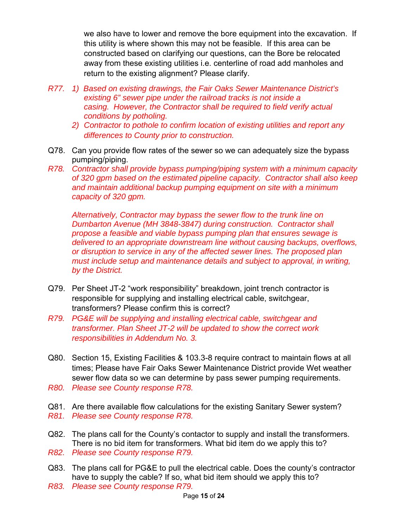we also have to lower and remove the bore equipment into the excavation. If this utility is where shown this may not be feasible. If this area can be constructed based on clarifying our questions, can the Bore be relocated away from these existing utilities i.e. centerline of road add manholes and return to the existing alignment? Please clarify.

- *R77. 1) Based on existing drawings, the Fair Oaks Sewer Maintenance District's existing 6" sewer pipe under the railroad tracks is not inside a casing. However, the Contractor shall be required to field verify actual conditions by potholing.*
	- *2) Contractor to pothole to confirm location of existing utilities and report any differences to County prior to construction.*
- Q78. Can you provide flow rates of the sewer so we can adequately size the bypass pumping/piping.
- *R78. Contractor shall provide bypass pumping/piping system with a minimum capacity of 320 gpm based on the estimated pipeline capacity. Contractor shall also keep and maintain additional backup pumping equipment on site with a minimum capacity of 320 gpm.*

*Alternatively, Contractor may bypass the sewer flow to the trunk line on Dumbarton Avenue (MH 3848-3847) during construction. Contractor shall propose a feasible and viable bypass pumping plan that ensures sewage is delivered to an appropriate downstream line without causing backups, overflows, or disruption to service in any of the affected sewer lines. The proposed plan must include setup and maintenance details and subject to approval, in writing, by the District.* 

- Q79. Per Sheet JT-2 "work responsibility" breakdown, joint trench contractor is responsible for supplying and installing electrical cable, switchgear, transformers? Please confirm this is correct?
- *R79. PG&E will be supplying and installing electrical cable, switchgear and transformer. Plan Sheet JT-2 will be updated to show the correct work responsibilities in Addendum No. 3.*
- Q80. Section 15, Existing Facilities & 103.3-8 require contract to maintain flows at all times; Please have Fair Oaks Sewer Maintenance District provide Wet weather sewer flow data so we can determine by pass sewer pumping requirements.
- *R80. Please see County response R78.*
- Q81. Are there available flow calculations for the existing Sanitary Sewer system?
- *R81. Please see County response R78.*
- Q82. The plans call for the County's contactor to supply and install the transformers. There is no bid item for transformers. What bid item do we apply this to?
- *R82. Please see County response R79.*
- Q83. The plans call for PG&E to pull the electrical cable. Does the county's contractor have to supply the cable? If so, what bid item should we apply this to?
- *R83. Please see County response R79.*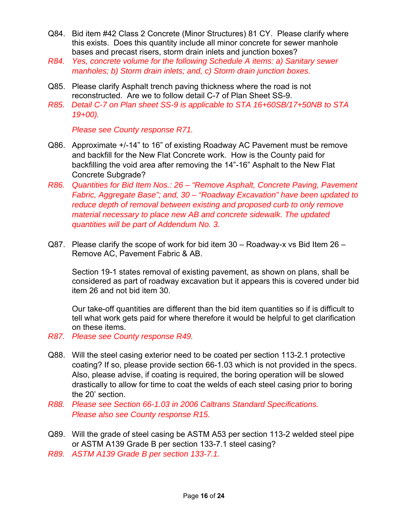- Q84. Bid item #42 Class 2 Concrete (Minor Structures) 81 CY. Please clarify where this exists. Does this quantity include all minor concrete for sewer manhole bases and precast risers, storm drain inlets and junction boxes?
- *R84. Yes, concrete volume for the following Schedule A items: a) Sanitary sewer manholes; b) Storm drain inlets; and, c) Storm drain junction boxes.*
- Q85. Please clarify Asphalt trench paving thickness where the road is not reconstructed. Are we to follow detail C-7 of Plan Sheet SS-9.
- *R85. Detail C-7 on Plan sheet SS-9 is applicable to STA 16+60SB/17+50NB to STA 19+00).*

 *Please see County response R71.*

- Q86. Approximate +/-14" to 16" of existing Roadway AC Pavement must be remove and backfill for the New Flat Concrete work. How is the County paid for backfilling the void area after removing the 14"-16" Asphalt to the New Flat Concrete Subgrade?
- *R86. Quantities for Bid Item Nos.: 26 "Remove Asphalt, Concrete Paving, Pavement Fabric, Aggregate Base"; and, 30 – "Roadway Excavation" have been updated to reduce depth of removal between existing and proposed curb to only remove material necessary to place new AB and concrete sidewalk. The updated quantities will be part of Addendum No. 3.*
- Q87. Please clarify the scope of work for bid item  $30 -$  Roadway-x vs Bid Item  $26 -$ Remove AC, Pavement Fabric & AB.

Section 19-1 states removal of existing pavement, as shown on plans, shall be considered as part of roadway excavation but it appears this is covered under bid item 26 and not bid item 30.

Our take-off quantities are different than the bid item quantities so if is difficult to tell what work gets paid for where therefore it would be helpful to get clarification on these items.

- *R87. Please see County response R49.*
- Q88. Will the steel casing exterior need to be coated per section 113-2.1 protective coating? If so, please provide section 66-1.03 which is not provided in the specs. Also, please advise, if coating is required, the boring operation will be slowed drastically to allow for time to coat the welds of each steel casing prior to boring the 20' section.
- *R88. Please see Section 66-1.03 in 2006 Caltrans Standard Specifications. Please also see County response R15.*
- Q89. Will the grade of steel casing be ASTM A53 per section 113-2 welded steel pipe or ASTM A139 Grade B per section 133-7.1 steel casing?
- *R89. ASTM A139 Grade B per section 133-7.1.*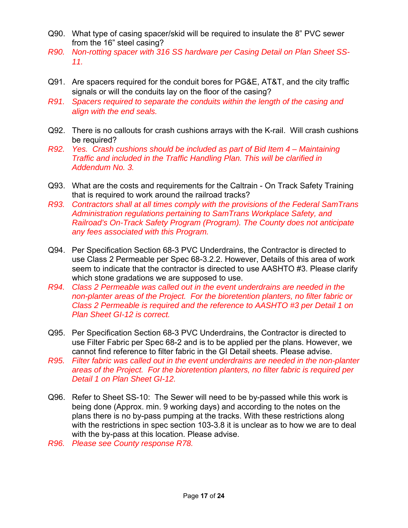- Q90. What type of casing spacer/skid will be required to insulate the 8" PVC sewer from the 16" steel casing?
- *R90. Non-rotting spacer with 316 SS hardware per Casing Detail on Plan Sheet SS-11.*
- Q91. Are spacers required for the conduit bores for PG&E, AT&T, and the city traffic signals or will the conduits lay on the floor of the casing?
- *R91. Spacers required to separate the conduits within the length of the casing and align with the end seals.*
- Q92. There is no callouts for crash cushions arrays with the K-rail. Will crash cushions be required?
- *R92. Yes. Crash cushions should be included as part of Bid Item 4 Maintaining Traffic and included in the Traffic Handling Plan. This will be clarified in Addendum No. 3.*
- Q93. What are the costs and requirements for the Caltrain On Track Safety Training that is required to work around the railroad tracks?
- *R93. Contractors shall at all times comply with the provisions of the Federal SamTrans Administration regulations pertaining to SamTrans Workplace Safety, and Railroad's On-Track Safety Program (Program). The County does not anticipate any fees associated with this Program.*
- Q94. Per Specification Section 68-3 PVC Underdrains, the Contractor is directed to use Class 2 Permeable per Spec 68-3.2.2. However, Details of this area of work seem to indicate that the contractor is directed to use AASHTO #3. Please clarify which stone gradations we are supposed to use.
- *R94. Class 2 Permeable was called out in the event underdrains are needed in the non-planter areas of the Project. For the bioretention planters, no filter fabric or Class 2 Permeable is required and the reference to AASHTO #3 per Detail 1 on Plan Sheet GI-12 is correct.*
- Q95. Per Specification Section 68-3 PVC Underdrains, the Contractor is directed to use Filter Fabric per Spec 68-2 and is to be applied per the plans. However, we cannot find reference to filter fabric in the GI Detail sheets. Please advise.
- *R95. Filter fabric was called out in the event underdrains are needed in the non-planter areas of the Project. For the bioretention planters, no filter fabric is required per Detail 1 on Plan Sheet GI-12.*
- Q96. Refer to Sheet SS-10: The Sewer will need to be by-passed while this work is being done (Approx. min. 9 working days) and according to the notes on the plans there is no by-pass pumping at the tracks. With these restrictions along with the restrictions in spec section 103-3.8 it is unclear as to how we are to deal with the by-pass at this location. Please advise.
- *R96. Please see County response R78.*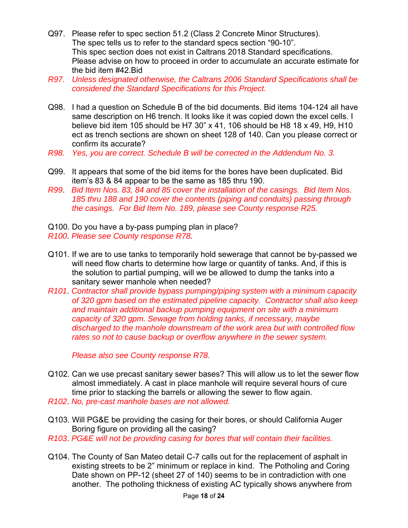- Q97. Please refer to spec section 51.2 (Class 2 Concrete Minor Structures). The spec tells us to refer to the standard specs section "90-10". This spec section does not exist in Caltrans 2018 Standard specifications. Please advise on how to proceed in order to accumulate an accurate estimate for the bid item #42.Bid
- *R97. Unless designated otherwise, the Caltrans 2006 Standard Specifications shall be considered the Standard Specifications for this Project.*
- Q98. I had a question on Schedule B of the bid documents. Bid items 104-124 all have same description on H6 trench. It looks like it was copied down the excel cells. I believe bid item 105 should be H7 30" x 41, 106 should be H8 18 x 49, H9, H10 ect as trench sections are shown on sheet 128 of 140. Can you please correct or confirm its accurate?
- *R98. Yes, you are correct. Schedule B will be corrected in the Addendum No. 3.*
- Q99. It appears that some of the bid items for the bores have been duplicated. Bid item's 83 & 84 appear to be the same as 185 thru 190.
- *R99*. *Bid Item Nos. 83, 84 and 85 cover the installation of the casings. Bid Item Nos. 185 thru 188 and 190 cover the contents (piping and conduits) passing through the casings. For Bid Item No. 189, please see County response R25.*
- Q100. Do you have a by-pass pumping plan in place?
- *R100*. *Please see County response R78.*
- Q101. If we are to use tanks to temporarily hold sewerage that cannot be by-passed we will need flow charts to determine how large or quantity of tanks. And, if this is the solution to partial pumping, will we be allowed to dump the tanks into a sanitary sewer manhole when needed?
- *R101*. *Contractor shall provide bypass pumping/piping system with a minimum capacity of 320 gpm based on the estimated pipeline capacity. Contractor shall also keep and maintain additional backup pumping equipment on site with a minimum capacity of 320 gpm. Sewage from holding tanks, if necessary, maybe discharged to the manhole downstream of the work area but with controlled flow rates so not to cause backup or overflow anywhere in the sewer system.*

*Please also see County response R78.*

- Q102. Can we use precast sanitary sewer bases? This will allow us to let the sewer flow almost immediately. A cast in place manhole will require several hours of cure time prior to stacking the barrels or allowing the sewer to flow again.
- *R102*. *No, pre-cast manhole bases are not allowed.*
- Q103. Will PG&E be providing the casing for their bores, or should California Auger Boring figure on providing all the casing?
- *R103*. *PG&E will not be providing casing for bores that will contain their facilities.*
- Q104. The County of San Mateo detail C-7 calls out for the replacement of asphalt in existing streets to be 2" minimum or replace in kind. The Potholing and Coring Date shown on PP-12 (sheet 27 of 140) seems to be in contradiction with one another. The potholing thickness of existing AC typically shows anywhere from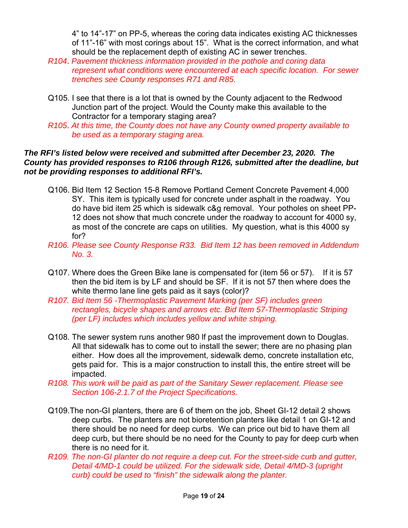4" to 14"-17" on PP-5, whereas the coring data indicates existing AC thicknesses of 11"-16" with most corings about 15". What is the correct information, and what should be the replacement depth of existing AC in sewer trenches.

- *R104*. *Pavement thickness information provided in the pothole and coring data represent what conditions were encountered at each specific location. For sewer trenches see County responses R71 and R85.*
- Q105. I see that there is a lot that is owned by the County adjacent to the Redwood Junction part of the project. Would the County make this available to the Contractor for a temporary staging area?
- *R105*. *At this time, the County does not have any County owned property available to be used as a temporary staging area.*

### *The RFI's listed below were received and submitted after December 23, 2020. The County has provided responses to R106 through R126, submitted after the deadline, but not be providing responses to additional RFI's.*

- Q106. Bid Item 12 Section 15-8 Remove Portland Cement Concrete Pavement 4,000 SY. This item is typically used for concrete under asphalt in the roadway. You do have bid item 25 which is sidewalk c&g removal. Your potholes on sheet PP-12 does not show that much concrete under the roadway to account for 4000 sy, as most of the concrete are caps on utilities. My question, what is this 4000 sy for?
- *R106. Please see County Response R33. Bid Item 12 has been removed in Addendum No. 3.*
- Q107. Where does the Green Bike lane is compensated for (item 56 or 57). If it is 57 then the bid item is by LF and should be SF. If it is not 57 then where does the white thermo lane line gets paid as it says (color)?
- *R107. Bid Item 56 -Thermoplastic Pavement Marking (per SF) includes green rectangles, bicycle shapes and arrows etc. Bid Item 57-Thermoplastic Striping (per LF) includes which includes yellow and white striping.*
- Q108. The sewer system runs another 980 lf past the improvement down to Douglas. All that sidewalk has to come out to install the sewer; there are no phasing plan either. How does all the improvement, sidewalk demo, concrete installation etc, gets paid for. This is a major construction to install this, the entire street will be impacted.
- *R108. This work will be paid as part of the Sanitary Sewer replacement. Please see Section 106-2.1.7 of the Project Specifications.*
- Q109.The non-GI planters, there are 6 of them on the job, Sheet GI-12 detail 2 shows deep curbs. The planters are not bioretention planters like detail 1 on GI-12 and there should be no need for deep curbs. We can price out bid to have them all deep curb, but there should be no need for the County to pay for deep curb when there is no need for it.
- *R109. The non-GI planter do not require a deep cut. For the street-side curb and gutter, Detail 4/MD-1 could be utilized. For the sidewalk side, Detail 4/MD-3 (upright curb) could be used to "finish" the sidewalk along the planter.*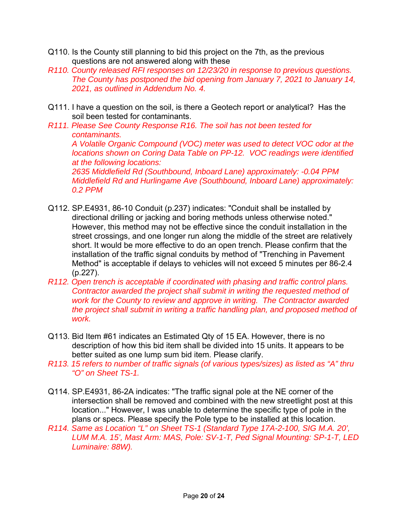- Q110. Is the County still planning to bid this project on the 7th, as the previous questions are not answered along with these
- *R110. County released RFI responses on 12/23/20 in response to previous questions. The County has postponed the bid opening from January 7, 2021 to January 14, 2021, as outlined in Addendum No. 4.*
- Q111. I have a question on the soil, is there a Geotech report or analytical? Has the soil been tested for contaminants.
- *R111. Please See County Response R16. The soil has not been tested for contaminants.*

*A Volatile Organic Compound (VOC) meter was used to detect VOC odor at the locations shown on Coring Data Table on PP-12. VOC readings were identified at the following locations:* 

*2635 Middlefield Rd (Southbound, Inboard Lane) approximately: -0.04 PPM Middlefield Rd and Hurlingame Ave (Southbound, Inboard Lane) approximately: 0.2 PPM* 

- Q112. SP.E4931, 86-10 Conduit (p.237) indicates: "Conduit shall be installed by directional drilling or jacking and boring methods unless otherwise noted." However, this method may not be effective since the conduit installation in the street crossings, and one longer run along the middle of the street are relatively short. It would be more effective to do an open trench. Please confirm that the installation of the traffic signal conduits by method of "Trenching in Pavement Method" is acceptable if delays to vehicles will not exceed 5 minutes per 86-2.4 (p.227).
- *R112. Open trench is acceptable if coordinated with phasing and traffic control plans. Contractor awarded the project shall submit in writing the requested method of work for the County to review and approve in writing. The Contractor awarded the project shall submit in writing a traffic handling plan, and proposed method of work.*
- Q113. Bid Item #61 indicates an Estimated Qty of 15 EA. However, there is no description of how this bid item shall be divided into 15 units. It appears to be better suited as one lump sum bid item. Please clarify.
- *R113. 15 refers to number of traffic signals (of various types/sizes) as listed as "A" thru "O" on Sheet TS-1.*
- Q114. SP.E4931, 86-2A indicates: "The traffic signal pole at the NE corner of the intersection shall be removed and combined with the new streetlight post at this location..." However, I was unable to determine the specific type of pole in the plans or specs. Please specify the Pole type to be installed at this location.
- *R114. Same as Location "L" on Sheet TS-1 (Standard Type 17A-2-100, SIG M.A. 20', LUM M.A. 15', Mast Arm: MAS, Pole: SV-1-T, Ped Signal Mounting: SP-1-T, LED Luminaire: 88W).*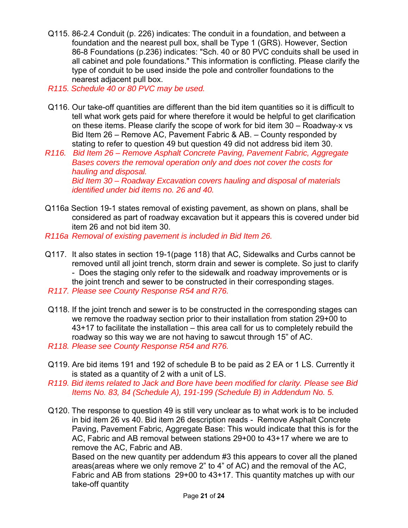- Q115. 86-2.4 Conduit (p. 226) indicates: The conduit in a foundation, and between a foundation and the nearest pull box, shall be Type 1 (GRS). However, Section 86-8 Foundations (p.236) indicates: "Sch. 40 or 80 PVC conduits shall be used in all cabinet and pole foundations." This information is conflicting. Please clarify the type of conduit to be used inside the pole and controller foundations to the nearest adjacent pull box.
- *R115. Schedule 40 or 80 PVC may be used.*
- Q116. Our take-off quantities are different than the bid item quantities so it is difficult to tell what work gets paid for where therefore it would be helpful to get clarification on these items. Please clarify the scope of work for bid item 30 – Roadway-x vs Bid Item 26 – Remove AC, Pavement Fabric & AB. – County responded by stating to refer to question 49 but question 49 did not address bid item 30.
- *R116. Bid Item 26 Remove Asphalt Concrete Paving, Pavement Fabric, Aggregate Bases covers the removal operation only and does not cover the costs for hauling and disposal. Bid Item 30 – Roadway Excavation covers hauling and disposal of materials identified under bid items no. 26 and 40.*
- Q116a Section 19-1 states removal of existing pavement, as shown on plans, shall be considered as part of roadway excavation but it appears this is covered under bid item 26 and not bid item 30.
- *R116a Removal of existing pavement is included in Bid Item 26.*
- Q117. It also states in section 19-1(page 118) that AC, Sidewalks and Curbs cannot be removed until all joint trench, storm drain and sewer is complete. So just to clarify - Does the staging only refer to the sidewalk and roadway improvements or is the joint trench and sewer to be constructed in their corresponding stages.
- *R117. Please see County Response R54 and R76.*
- Q118. If the joint trench and sewer is to be constructed in the corresponding stages can we remove the roadway section prior to their installation from station 29+00 to 43+17 to facilitate the installation – this area call for us to completely rebuild the roadway so this way we are not having to sawcut through 15" of AC.
- *R118. Please see County Response R54 and R76.*
- Q119. Are bid items 191 and 192 of schedule B to be paid as 2 EA or 1 LS. Currently it is stated as a quantity of 2 with a unit of LS.
- *R119. Bid items related to Jack and Bore have been modified for clarity. Please see Bid Items No. 83, 84 (Schedule A), 191-199 (Schedule B) in Addendum No. 5.*
- Q120. The response to question 49 is still very unclear as to what work is to be included in bid item 26 vs 40. Bid item 26 description reads - Remove Asphalt Concrete Paving, Pavement Fabric, Aggregate Base: This would indicate that this is for the AC, Fabric and AB removal between stations 29+00 to 43+17 where we are to remove the AC, Fabric and AB.

 Based on the new quantity per addendum #3 this appears to cover all the planed areas(areas where we only remove 2" to 4" of AC) and the removal of the AC, Fabric and AB from stations 29+00 to 43+17. This quantity matches up with our take-off quantity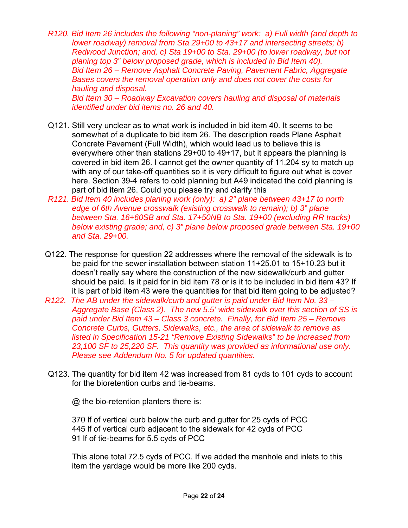*R120. Bid Item 26 includes the following "non-planing" work: a) Full width (and depth to lower roadway) removal from Sta 29+00 to 43+17 and intersecting streets; b) Redwood Junction; and, c) Sta 19+00 to Sta. 29+00 (to lower roadway, but not planing top 3" below proposed grade, which is included in Bid Item 40). Bid Item 26 – Remove Asphalt Concrete Paving, Pavement Fabric, Aggregate Bases covers the removal operation only and does not cover the costs for hauling and disposal.* 

*Bid Item 30 – Roadway Excavation covers hauling and disposal of materials identified under bid items no. 26 and 40.*

- Q121. Still very unclear as to what work is included in bid item 40. It seems to be somewhat of a duplicate to bid item 26. The description reads Plane Asphalt Concrete Pavement (Full Width), which would lead us to believe this is everywhere other than stations 29+00 to 49+17, but it appears the planning is covered in bid item 26. I cannot get the owner quantity of 11,204 sy to match up with any of our take-off quantities so it is very difficult to figure out what is cover here. Section 39-4 refers to cold planning but A49 indicated the cold planning is part of bid item 26. Could you please try and clarify this
- *R121. Bid Item 40 includes planing work (only): a) 2" plane between 43+17 to north edge of 6th Avenue crosswalk (existing crosswalk to remain); b) 3" plane between Sta. 16+60SB and Sta. 17+50NB to Sta. 19+00 (excluding RR tracks) below existing grade; and, c) 3" plane below proposed grade between Sta. 19+00 and Sta. 29+00.*
- Q122. The response for question 22 addresses where the removal of the sidewalk is to be paid for the sewer installation between station 11+25.01 to 15+10.23 but it doesn't really say where the construction of the new sidewalk/curb and gutter should be paid. Is it paid for in bid item 78 or is it to be included in bid item 43? If it is part of bid item 43 were the quantities for that bid item going to be adjusted?
- *R122. The AB under the sidewalk/curb and gutter is paid under Bid Item No. 33 Aggregate Base (Class 2). The new 5.5' wide sidewalk over this section of SS is paid under Bid Item 43 – Class 3 concrete. Finally, for Bid Item 25 – Remove Concrete Curbs, Gutters, Sidewalks, etc., the area of sidewalk to remove as listed in Specification 15-21 "Remove Existing Sidewalks" to be increased from 23,100 SF to 25,220 SF. This quantity was provided as informational use only. Please see Addendum No. 5 for updated quantities.*
- Q123. The quantity for bid item 42 was increased from 81 cyds to 101 cyds to account for the bioretention curbs and tie-beams.

@ the bio-retention planters there is:

370 lf of vertical curb below the curb and gutter for 25 cyds of PCC 445 lf of vertical curb adjacent to the sidewalk for 42 cyds of PCC 91 lf of tie-beams for 5.5 cyds of PCC

This alone total 72.5 cyds of PCC. If we added the manhole and inlets to this item the yardage would be more like 200 cyds.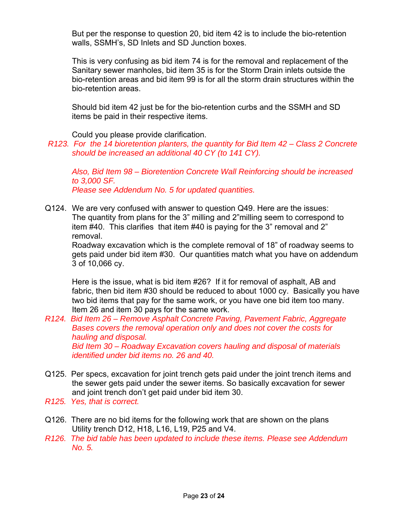But per the response to question 20, bid item 42 is to include the bio-retention walls, SSMH's, SD Inlets and SD Junction boxes.

This is very confusing as bid item 74 is for the removal and replacement of the Sanitary sewer manholes, bid item 35 is for the Storm Drain inlets outside the bio-retention areas and bid item 99 is for all the storm drain structures within the bio-retention areas.

Should bid item 42 just be for the bio-retention curbs and the SSMH and SD items be paid in their respective items.

Could you please provide clarification.

*R123. For the 14 bioretention planters, the quantity for Bid Item 42 – Class 2 Concrete should be increased an additional 40 CY (to 141 CY).* 

*Also, Bid Item 98 – Bioretention Concrete Wall Reinforcing should be increased to 3,000 SF. Please see Addendum No. 5 for updated quantities.* 

Q124. We are very confused with answer to question Q49. Here are the issues: The quantity from plans for the 3" milling and 2"milling seem to correspond to item #40. This clarifies that item #40 is paying for the 3" removal and 2" removal.

Roadway excavation which is the complete removal of 18" of roadway seems to gets paid under bid item #30. Our quantities match what you have on addendum 3 of 10,066 cy.

Here is the issue, what is bid item #26? If it for removal of asphalt, AB and fabric, then bid item #30 should be reduced to about 1000 cy. Basically you have two bid items that pay for the same work, or you have one bid item too many. Item 26 and item 30 pays for the same work.

*R124. Bid Item 26 – Remove Asphalt Concrete Paving, Pavement Fabric, Aggregate Bases covers the removal operation only and does not cover the costs for hauling and disposal. Bid Item 30 – Roadway Excavation covers hauling and disposal of materials identified under bid items no. 26 and 40.* 

- Q125. Per specs, excavation for joint trench gets paid under the joint trench items and the sewer gets paid under the sewer items. So basically excavation for sewer and joint trench don't get paid under bid item 30.
- *R125. Yes, that is correct.*
- Q126. There are no bid items for the following work that are shown on the plans Utility trench D12, H18, L16, L19, P25 and V4.
- *R126. The bid table has been updated to include these items. Please see Addendum No. 5.*